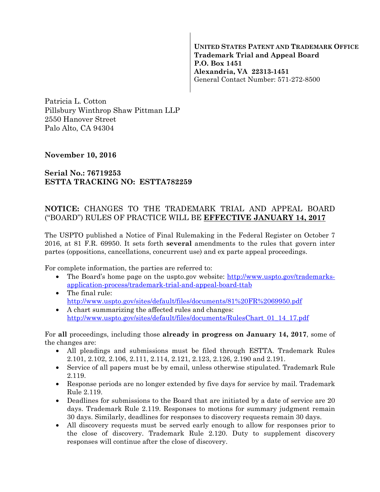**UNITED STATES PATENT AND TRADEMARK OFFICE Trademark Trial and Appeal Board P.O. Box 1451 Alexandria, VA 22313-1451**  General Contact Number: 571-272-8500

Patricia L. Cotton Pillsbury Winthrop Shaw Pittman LLP 2550 Hanover Street Palo Alto, CA 94304

## **November 10, 2016**

## **Serial No.: 76719253 ESTTA TRACKING NO: ESTTA782259**

## **NOTICE:** CHANGES TO THE TRADEMARK TRIAL AND APPEAL BOARD ("BOARD") RULES OF PRACTICE WILL BE **EFFECTIVE JANUARY 14, 2017**

The USPTO published a Notice of Final Rulemaking in the Federal Register on October 7 2016, at 81 F.R. 69950. It sets forth **several** amendments to the rules that govern inter partes (oppositions, cancellations, concurrent use) and ex parte appeal proceedings.

For complete information, the parties are referred to:

- The Board's home page on the uspto.gov website: http://www.uspto.gov/trademarksapplication-process/trademark-trial-and-appeal-board-ttab
- The final rule: http://www.uspto.gov/sites/default/files/documents/81%20FR%2069950.pdf
- A chart summarizing the affected rules and changes: http://www.uspto.gov/sites/default/files/documents/RulesChart\_01\_14\_17.pdf

For **all** proceedings, including those **already in progress on January 14, 2017**, some of the changes are:

- All pleadings and submissions must be filed through ESTTA. Trademark Rules 2.101, 2.102, 2.106, 2.111, 2.114, 2.121, 2.123, 2.126, 2.190 and 2.191.
- Service of all papers must be by email, unless otherwise stipulated. Trademark Rule 2.119.
- Response periods are no longer extended by five days for service by mail. Trademark Rule 2.119.
- Deadlines for submissions to the Board that are initiated by a date of service are 20 days. Trademark Rule 2.119. Responses to motions for summary judgment remain 30 days. Similarly, deadlines for responses to discovery requests remain 30 days.
- All discovery requests must be served early enough to allow for responses prior to the close of discovery. Trademark Rule 2.120. Duty to supplement discovery responses will continue after the close of discovery.